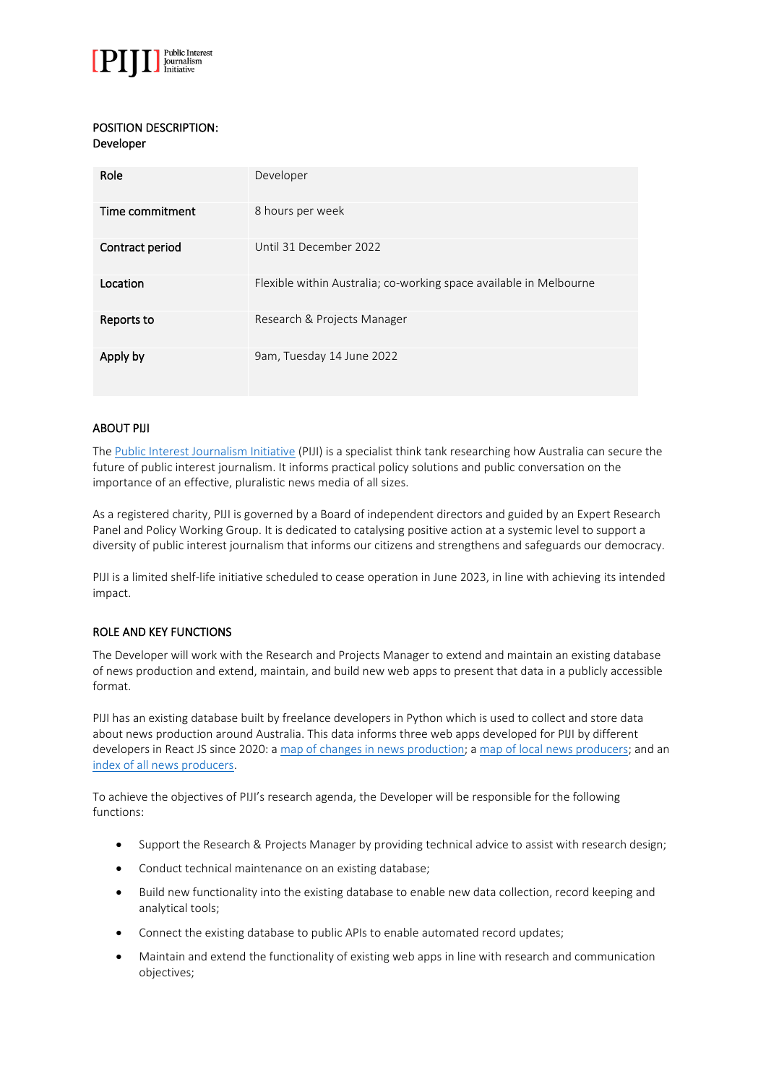

## POSITION DESCRIPTION: Developer

| Role            | Developer                                                          |
|-----------------|--------------------------------------------------------------------|
| Time commitment | 8 hours per week                                                   |
| Contract period | Until 31 December 2022                                             |
| Location        | Flexible within Australia; co-working space available in Melbourne |
| Reports to      | Research & Projects Manager                                        |
| Apply by        | 9am, Tuesday 14 June 2022                                          |

## ABOUT PIJI

The [Public Interest Journalism Initiative](http://www.piji.com.au/) (PIJI) is a specialist think tank researching how Australia can secure the future of public interest journalism. It informs practical policy solutions and public conversation on the importance of an effective, pluralistic news media of all sizes.

As a registered charity, PIJI is governed by a Board of independent directors and guided by an Expert Research Panel and Policy Working Group. It is dedicated to catalysing positive action at a systemic level to support a diversity of public interest journalism that informs our citizens and strengthens and safeguards our democracy.

PIJI is a limited shelf-life initiative scheduled to cease operation in June 2023, in line with achieving its intended impact.

# ROLE AND KEY FUNCTIONS

The Developer will work with the Research and Projects Manager to extend and maintain an existing database of news production and extend, maintain, and build new web apps to present that data in a publicly accessible format.

PIJI has an existing database built by freelance developers in Python which is used to collect and store data about news production around Australia. This data informs three web apps developed for PIJI by different developers in React JS since 2020: a [map of changes in news production;](https://anmp.piji.com.au/) [a map of local news producers;](https://localnews.piji.com.au/) and an [index of all news producers.](https://newsindex.piji.com.au/)

To achieve the objectives of PIJI's research agenda, the Developer will be responsible for the following functions:

- Support the Research & Projects Manager by providing technical advice to assist with research design;
- Conduct technical maintenance on an existing database;
- Build new functionality into the existing database to enable new data collection, record keeping and analytical tools;
- Connect the existing database to public APIs to enable automated record updates;
- Maintain and extend the functionality of existing web apps in line with research and communication objectives;